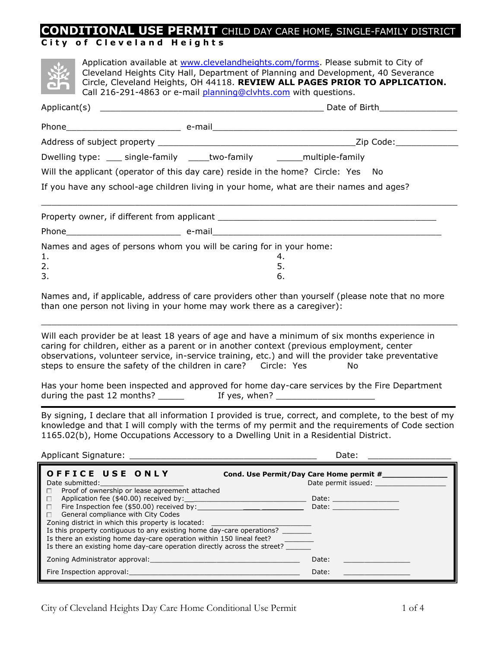# **CONDITIONAL USE PERMIT** CHILD DAY CARE HOME, SINGLE-FAMILY DISTRICT

# **City of Cleveland Heights**

|                                                                                         |  | Application available at www.clevelandheights.com/forms. Please submit to City of<br>Cleveland Heights City Hall, Department of Planning and Development, 40 Severance<br>Circle, Cleveland Heights, OH 44118. REVIEW ALL PAGES PRIOR TO APPLICATION.<br>Call 216-291-4863 or e-mail planning@clyhts.com with questions. |  |  |  |  |
|-----------------------------------------------------------------------------------------|--|--------------------------------------------------------------------------------------------------------------------------------------------------------------------------------------------------------------------------------------------------------------------------------------------------------------------------|--|--|--|--|
|                                                                                         |  |                                                                                                                                                                                                                                                                                                                          |  |  |  |  |
|                                                                                         |  |                                                                                                                                                                                                                                                                                                                          |  |  |  |  |
|                                                                                         |  |                                                                                                                                                                                                                                                                                                                          |  |  |  |  |
| Dwelling type: ____ single-family _____ two-family _________ multiple-family            |  |                                                                                                                                                                                                                                                                                                                          |  |  |  |  |
| Will the applicant (operator of this day care) reside in the home? Circle: Yes No       |  |                                                                                                                                                                                                                                                                                                                          |  |  |  |  |
| If you have any school-age children living in your home, what are their names and ages? |  |                                                                                                                                                                                                                                                                                                                          |  |  |  |  |
|                                                                                         |  |                                                                                                                                                                                                                                                                                                                          |  |  |  |  |
|                                                                                         |  |                                                                                                                                                                                                                                                                                                                          |  |  |  |  |
| 1.<br>2.<br>3.                                                                          |  | Names and ages of persons whom you will be caring for in your home:<br>4.<br>5.<br>6.                                                                                                                                                                                                                                    |  |  |  |  |
|                                                                                         |  |                                                                                                                                                                                                                                                                                                                          |  |  |  |  |

Names and, if applicable, address of care providers other than yourself (please note that no more than one person not living in your home may work there as a caregiver):

\_\_\_\_\_\_\_\_\_\_\_\_\_\_\_\_\_\_\_\_\_\_\_\_\_\_\_\_\_\_\_\_\_\_\_\_\_\_\_\_\_\_\_\_\_\_\_\_\_\_\_\_\_\_\_\_\_\_\_\_\_\_\_\_\_\_\_\_\_\_\_\_\_\_\_\_\_\_\_\_

Will each provider be at least 18 years of age and have a minimum of six months experience in caring for children, either as a parent or in another context (previous employment, center observations, volunteer service, in-service training, etc.) and will the provider take preventative steps to ensure the safety of the children in care? Circle: Yes Mo

Has your home been inspected and approved for home day-care services by the Fire Department during the past 12 months? \_\_\_\_\_ If yes, when? \_\_\_\_\_\_\_\_\_\_\_\_\_\_\_\_\_\_\_

By signing, I declare that all information I provided is true, correct, and complete, to the best of my knowledge and that I will comply with the terms of my permit and the requirements of Code section 1165.02(b), Home Occupations Accessory to a Dwelling Unit in a Residential District.

| <b>Applicant Signature:</b> | ,,,,<br>vale<br>____ |  |
|-----------------------------|----------------------|--|
|                             |                      |  |

| <b>OFFICE USE ONLY</b><br>Date submitted:                                | Cond. Use Permit/Day Care Home permit #<br>Date permit issued:                                                                                                                                                                 |  |  |  |
|--------------------------------------------------------------------------|--------------------------------------------------------------------------------------------------------------------------------------------------------------------------------------------------------------------------------|--|--|--|
| Proof of ownership or lease agreement attached<br>П.                     |                                                                                                                                                                                                                                |  |  |  |
|                                                                          | Date: the contract of the contract of the contract of the contract of the contract of the contract of the contract of the contract of the contract of the contract of the contract of the contract of the contract of the cont |  |  |  |
| $\Box$                                                                   | Date: the contract of the contract of the contract of the contract of the contract of the contract of the contract of the contract of the contract of the contract of the contract of the contract of the contract of the cont |  |  |  |
| $\Box$ General compliance with City Codes                                |                                                                                                                                                                                                                                |  |  |  |
| Zoning district in which this property is located:                       |                                                                                                                                                                                                                                |  |  |  |
| Is this property contiguous to any existing home day-care operations?    |                                                                                                                                                                                                                                |  |  |  |
| Is there an existing home day-care operation within 150 lineal feet?     |                                                                                                                                                                                                                                |  |  |  |
| Is there an existing home day-care operation directly across the street? |                                                                                                                                                                                                                                |  |  |  |
| <b>Zoning Administrator approval: Contract Administrator approval:</b>   | Date:                                                                                                                                                                                                                          |  |  |  |
| Fire Inspection approval:                                                | Date:                                                                                                                                                                                                                          |  |  |  |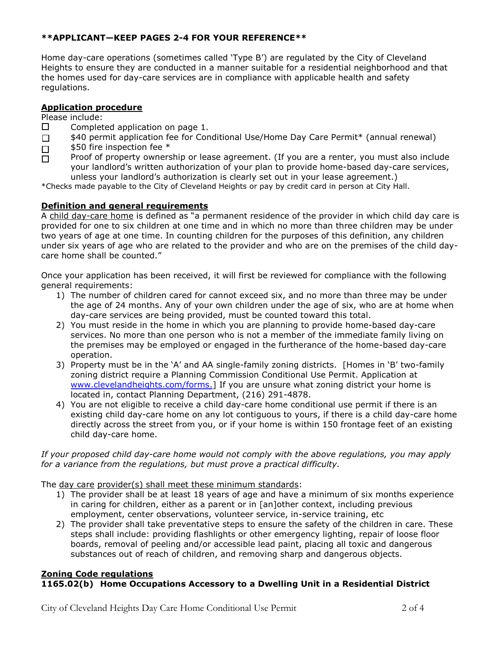### **\*\*APPLICANT—KEEP PAGES 2-4 FOR YOUR REFERENCE\*\***

Home day-care operations (sometimes called "Type B") are regulated by the City of Cleveland Heights to ensure they are conducted in a manner suitable for a residential neighborhood and that the homes used for day-care services are in compliance with applicable health and safety regulations.

#### **Application procedure**

Please include:

- $\Box$ Completed application on page 1.
- $\Box$ \$40 permit application fee for Conditional Use/Home Day Care Permit\* (annual renewal)
- \$50 fire inspection fee \*  $\Box$
- Proof of property ownership or lease agreement. (If you are a renter, you must also include  $\Box$ your landlord"s written authorization of your plan to provide home-based day-care services, unless your landlord"s authorization is clearly set out in your lease agreement.)

\*Checks made payable to the City of Cleveland Heights or pay by credit card in person at City Hall.

#### **Definition and general requirements**

A child day-care home is defined as "a permanent residence of the provider in which child day care is provided for one to six children at one time and in which no more than three children may be under two years of age at one time. In counting children for the purposes of this definition, any children under six years of age who are related to the provider and who are on the premises of the child daycare home shall be counted."

Once your application has been received, it will first be reviewed for compliance with the following general requirements:

- 1) The number of children cared for cannot exceed six, and no more than three may be under the age of 24 months. Any of your own children under the age of six, who are at home when day-care services are being provided, must be counted toward this total.
- 2) You must reside in the home in which you are planning to provide home-based day-care services. No more than one person who is not a member of the immediate family living on the premises may be employed or engaged in the furtherance of the home-based day-care operation.
- 3) Property must be in the "A" and AA single-family zoning districts. [Homes in "B" two-family zoning district require a Planning Commission Conditional Use Permit. Application at [www.clevelandheights.com/forms.\]](http://www.clevelandheights.com/forms.) If you are unsure what zoning district your home is located in, contact Planning Department, (216) 291-4878.
- 4) You are not eligible to receive a child day-care home conditional use permit if there is an existing child day-care home on any lot contiguous to yours, if there is a child day-care home directly across the street from you, or if your home is within 150 frontage feet of an existing child day-care home.

#### *If your proposed child day-care home would not comply with the above regulations, you may apply for a variance from the regulations, but must prove a practical difficulty.*

The day care provider(s) shall meet these minimum standards:

- 1) The provider shall be at least 18 years of age and have a minimum of six months experience in caring for children, either as a parent or in [an]other context, including previous employment, center observations, volunteer service, in-service training, etc
- 2) The provider shall take preventative steps to ensure the safety of the children in care. These steps shall include: providing flashlights or other emergency lighting, repair of loose floor boards, removal of peeling and/or accessible lead paint, placing all toxic and dangerous substances out of reach of children, and removing sharp and dangerous objects.

#### **Zoning Code regulations 1165.02(b) Home Occupations Accessory to a Dwelling Unit in a Residential District**

City of Cleveland Heights Day Care Home Conditional Use Permit 2 of 4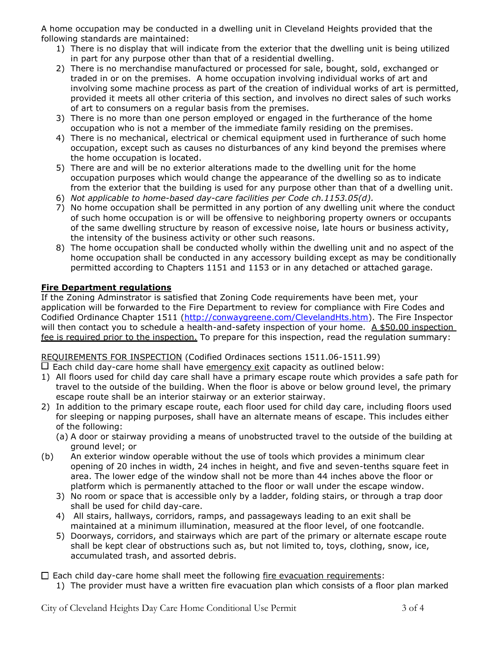A home occupation may be conducted in a dwelling unit in Cleveland Heights provided that the following standards are maintained:

- 1) There is no display that will indicate from the exterior that the dwelling unit is being utilized in part for any purpose other than that of a residential dwelling.
- 2) There is no merchandise manufactured or processed for sale, bought, sold, exchanged or traded in or on the premises. A home occupation involving individual works of art and involving some machine process as part of the creation of individual works of art is permitted, provided it meets all other criteria of this section, and involves no direct sales of such works of art to consumers on a regular basis from the premises.
- 3) There is no more than one person employed or engaged in the furtherance of the home occupation who is not a member of the immediate family residing on the premises.
- 4) There is no mechanical, electrical or chemical equipment used in furtherance of such home occupation, except such as causes no disturbances of any kind beyond the premises where the home occupation is located.
- 5) There are and will be no exterior alterations made to the dwelling unit for the home occupation purposes which would change the appearance of the dwelling so as to indicate from the exterior that the building is used for any purpose other than that of a dwelling unit.
- 6) *Not applicable to home-based day-care facilities per Code ch.1153.05(d).*
- 7) No home occupation shall be permitted in any portion of any dwelling unit where the conduct of such home occupation is or will be offensive to neighboring property owners or occupants of the same dwelling structure by reason of excessive noise, late hours or business activity, the intensity of the business activity or other such reasons.
- 8) The home occupation shall be conducted wholly within the dwelling unit and no aspect of the home occupation shall be conducted in any accessory building except as may be conditionally permitted according to Chapters 1151 and 1153 or in any detached or attached garage.

# **Fire Department regulations**

If the Zoning Adminstrator is satisfied that Zoning Code requirements have been met, your application will be forwarded to the Fire Department to review for compliance with Fire Codes and Codified Ordinance Chapter 1511 [\(http://conwaygreene.com/ClevelandHts.htm\)](http://conwaygreene.com/ClevelandHts.htm). The Fire Inspector will then contact you to schedule a health-and-safety inspection of your home. A \$50.00 inspection fee is required prior to the inspection. To prepare for this inspection, read the regulation summary:

# REQUIREMENTS FOR INSPECTION (Codified Ordinaces sections 1511.06-1511.99)

- $\Box$  Each child day-care home shall have emergency exit capacity as outlined below:
- 1) All floors used for child day care shall have a primary escape route which provides a safe path for travel to the outside of the building. When the floor is above or below ground level, the primary escape route shall be an interior stairway or an exterior stairway.
- 2) In addition to the primary escape route, each floor used for child day care, including floors used for sleeping or napping purposes, shall have an alternate means of escape. This includes either of the following:
	- (a) A door or stairway providing a means of unobstructed travel to the outside of the building at ground level; or
- (b) An exterior window operable without the use of tools which provides a minimum clear opening of 20 inches in width, 24 inches in height, and five and seven-tenths square feet in area. The lower edge of the window shall not be more than 44 inches above the floor or platform which is permanently attached to the floor or wall under the escape window.
	- 3) No room or space that is accessible only by a ladder, folding stairs, or through a trap door shall be used for child day-care.
	- 4) All stairs, hallways, corridors, ramps, and passageways leading to an exit shall be maintained at a minimum illumination, measured at the floor level, of one footcandle.
	- 5) Doorways, corridors, and stairways which are part of the primary or alternate escape route shall be kept clear of obstructions such as, but not limited to, toys, clothing, snow, ice, accumulated trash, and assorted debris.

 $\square$  Each child day-care home shall meet the following fire evacuation requirements:

1) The provider must have a written fire evacuation plan which consists of a floor plan marked